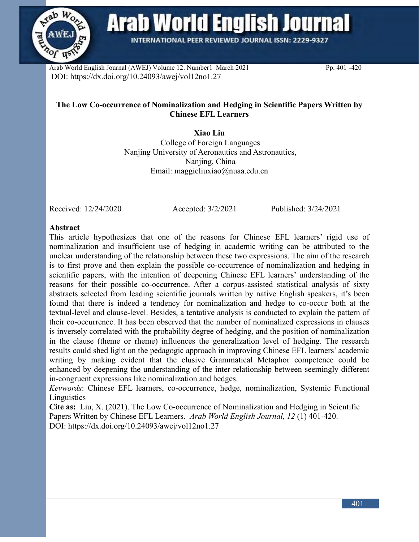

**Arab World English Journal** 

**INTERNATIONAL PEER REVIEWED JOURNAL ISSN: 2229-9327** 

Arab World English Journal (AWEJ) Volume 12. Number1 March 2021 Pp. 401 -420 DOI: https://dx.doi.org/10.24093/awej/vol12no1.27

# **The Low Co-occurrence of Nominalization and Hedging in Scientific Papers Written by Chinese EFL Learners**

**Xiao Liu** College of Foreign Languages Nanjing University of Aeronautics and Astronautics, Nanjing, China Email: maggieliuxiao@nuaa.edu.cn

Received: 12/24/2020 Accepted: 3/2/2021 Published: 3/24/2021

#### **Abstract**

This article hypothesizes that one of the reasons for Chinese EFL learners' rigid use of nominalization and insufficient use of hedging in academic writing can be attributed to the unclear understanding of the relationship between these two expressions. The aim of the research is to first prove and then explain the possible co-occurrence of nominalization and hedging in scientific papers, with the intention of deepening Chinese EFL learners' understanding of the reasons for their possible co-occurrence. After a corpus-assisted statistical analysis of sixty abstracts selected from leading scientific journals written by native English speakers, it's been found that there is indeed a tendency for nominalization and hedge to co-occur both at the textual-level and clause-level. Besides, a tentative analysis is conducted to explain the pattern of their co-occurrence. It has been observed that the number of nominalized expressions in clauses is inversely correlated with the probability degree of hedging, and the position of nominalization in the clause (theme or rheme) influences the generalization level of hedging. The research results could shed light on the pedagogic approach in improving Chinese EFL learners' academic writing by making evident that the elusive Grammatical Metaphor competence could be enhanced by deepening the understanding of the inter-relationship between seemingly different in-congruent expressions like nominalization and hedges.

*Keywords*: Chinese EFL learners, co-occurrence, hedge, nominalization, Systemic Functional **Linguistics** 

**Cite as:** Liu, X. (2021). The Low Co-occurrence of Nominalization and Hedging in Scientific Papers Written by Chinese EFL Learners. *Arab World English Journal, 12* (1) 401-420. DOI: https://dx.doi.org/10.24093/awej/vol12no1.27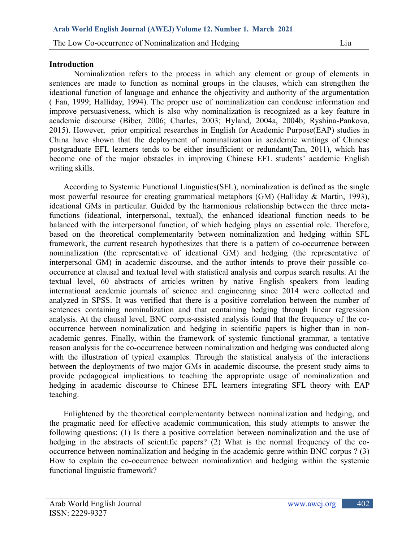#### **Introduction**

Nominalization refers to the process in which any element or group of elements in sentences are made to function as nominal groups in the clauses, which can strengthen the ideational function of language and enhance the objectivity and authority of the argumentation ( Fan, 1999; Halliday, 1994). The proper use of nominalization can condense information and improve persuasiveness, which is also why nominalization is recognized as a key feature in academic discourse (Biber, 2006; Charles, 2003; Hyland, 2004a, 2004b; Ryshina-Pankova, 2015). However, prior empirical researches in English for Academic Purpose(EAP) studies in China have shown that the deployment of nominalization in academic writings of Chinese postgraduate EFL learners tends to be either insufficient or redundant(Tan, 2011), which has become one of the major obstacles in improving Chinese EFL students' academic English writing skills.

According to Systemic Functional Linguistics(SFL), nominalization is defined as the single most powerful resource for creating grammatical metaphors (GM) (Halliday & Martin, 1993), ideational GMs in particular. Guided by the harmonious relationship between the three metafunctions (ideational, interpersonal, textual), the enhanced ideational function needs to be balanced with the interpersonal function, of which hedging plays an essential role. Therefore, based on the theoretical complementarity between nominalization and hedging within SFL framework, the current research hypothesizes that there is a pattern of co-occurrence between nominalization (the representative of ideational GM) and hedging (the representative of interpersonal GM) in academic discourse, and the author intends to prove their possible cooccurrence at clausal and textual level with statistical analysis and corpus search results. At the textual level, 60 abstracts of articles written by native English speakers from leading international academic journals of science and engineering since 2014 were collected and analyzed in SPSS. It was verified that there is a positive correlation between the number of sentences containing nominalization and that containing hedging through linear regression analysis. At the clausal level, BNC corpus-assisted analysis found that the frequency of the cooccurrence between nominalization and hedging in scientific papers is higher than in nonacademic genres. Finally, within the framework of systemic functional grammar, a tentative reason analysis for the co-occurrence between nominalization and hedging was conducted along with the illustration of typical examples. Through the statistical analysis of the interactions between the deployments of two major GMs in academic discourse, the present study aims to provide pedagogical implications to teaching the appropriate usage of nominalization and hedging in academic discourse to Chinese EFL learners integrating SFL theory with EAP teaching.

Enlightened by the theoretical complementarity between nominalization and hedging, and the pragmatic need for effective academic communication, this study attempts to answer the following questions: (1) Is there a positive correlation between nominalization and the use of hedging in the abstracts of scientific papers? (2) What is the normal frequency of the cooccurrence between nominalization and hedging in the academic genre within BNC corpus ? (3) How to explain the co-occurrence between nominalization and hedging within the systemic functional linguistic framework?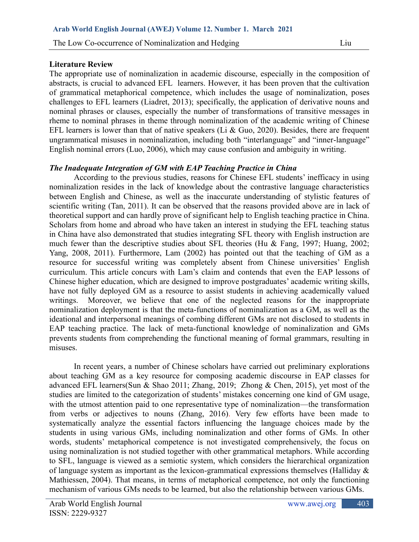### **Literature Review**

The appropriate use of nominalization in academic discourse, especially in the composition of abstracts, is crucial to advanced EFL learners. However, it has been proven that the cultivation of grammatical metaphorical competence, which includes the usage of nominalization, poses challenges to EFL learners (Liadret, 2013); specifically, the application of derivative nouns and nominal phrases or clauses, especially the number of transformations of transitive messages in rheme to nominal phrases in theme through nominalization of the academic writing of Chinese EFL learners is lower than that of native speakers (Li & Guo, 2020). Besides, there are frequent ungrammatical misuses in nominalization, including both "interlanguage" and "inner-language" English nominal errors (Luo, 2006), which may cause confusion and ambiguity in writing.

# *The Inadequate Integration of GM with EAP Teaching Practice in China*

According to the previous studies, reasons for Chinese EFL students' inefficacy in using nominalization resides in the lack of knowledge about the contrastive language characteristics between English and Chinese, as well as the inaccurate understanding of stylistic features of scientific writing (Tan, 2011). It can be observed that the reasons provided above are in lack of theoretical support and can hardly prove of significant help to English teaching practice in China. Scholars from home and abroad who have taken an interest in studying the EFL teaching status in China have also demonstrated that studies integrating SFL theory with English instruction are much fewer than the descriptive studies about SFL theories (Hu & Fang, 1997; Huang, 2002; Yang, 2008, 2011). Furthermore, Lam (2002) has pointed out that the teaching of GM as a resource for successful writing was completely absent from Chinese universities' English curriculum. This article concurs with Lam's claim and contends that even the EAP lessons of Chinese higher education, which are designed to improve postgraduates' academic writing skills, have not fully deployed GM as a resource to assist students in achieving academically valued writings. Moreover, we believe that one of the neglected reasons for the inappropriate nominalization deployment is that the meta-functions of nominalization as a GM, as well as the ideational and interpersonal meanings of combing different GMs are not disclosed to students in EAP teaching practice. The lack of meta-functional knowledge of nominalization and GMs prevents students from comprehending the functional meaning of formal grammars, resulting in misuses.

In recent years, a number of Chinese scholars have carried out preliminary explorations about teaching GM as a key resource for composing academic discourse in EAP classes for advanced EFL learners(Sun & Shao 2011; Zhang, 2019; Zhong & Chen, 2015), yet most of the studies are limited to the categorization of students' mistakes concerning one kind of GM usage, with the utmost attention paid to one representative type of nominalization—the transformation from verbs or adjectives to nouns (Zhang, 2016). Very few efforts have been made to systematically analyze the essential factors influencing the language choices made by the students in using various GMs, including nominalization and other forms of GMs. In other words, students' metaphorical competence is not investigated comprehensively, the focus on using nominalization is not studied together with other grammatical metaphors. While according to SFL, language is viewed as a semiotic system, which considers the hierarchical organization of language system as important as the lexicon-grammatical expressions themselves (Halliday & Mathiessen, 2004). That means, in terms of metaphorical competence, not only the functioning mechanism of various GMs needs to be learned, but also the relationship between various GMs.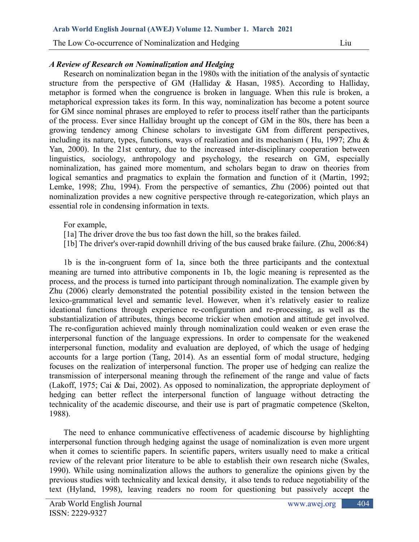# *A Review of Research on Nominalization and Hedging*

Research on nominalization began in the 1980s with the initiation of the analysis of syntactic structure from the perspective of GM (Halliday & Hasan, 1985). According to Halliday, metaphor is formed when the congruence is broken in language. When this rule is broken, a metaphorical expression takes its form. In this way, nominalization has become a potent source for GM since nominal phrases are employed to refer to process itself rather than the participants of the process. Ever since Halliday brought up the concept of GM in the 80s, there has been a growing tendency among Chinese scholars to investigate GM from different perspectives, including its nature, types, functions, ways of realization and its mechanism ( Hu, 1997; Zhu & Yan, 2000). In the 21st century, due to the increased inter-disciplinary cooperation between linguistics, sociology, anthropology and psychology, the research on GM, especially nominalization, has gained more momentum, and scholars began to draw on theories from logical semantics and pragmatics to explain the formation and function of it (Martin, 1992; Lemke, 1998; Zhu, 1994). From the perspective of semantics, Zhu (2006) pointed out that nominalization provides a new cognitive perspective through re-categorization, which plays an essential role in condensing information in texts.

#### For example,

- [1a] The driver drove the bus too fast down the hill, so the brakes failed.
- [1b] The driver's over-rapid downhill driving of the bus caused brake failure. (Zhu, 2006:84)

1b is the in-congruent form of 1a, since both the three participants and the contextual meaning are turned into attributive components in 1b, the logic meaning is represented as the process, and the process is turned into participant through nominalization. The example given by Zhu (2006) clearly demonstrated the potential possibility existed in the tension between the lexico-grammatical level and semantic level. However, when it's relatively easier to realize ideational functions through experience re-configuration and re-processing, as well as the substantialization of attributes, things become trickier when emotion and attitude get involved. The re-configuration achieved mainly through nominalization could weaken or even erase the interpersonal function of the language expressions. In order to compensate for the weakened interpersonal function, modality and evaluation are deployed, of which the usage of hedging accounts for a large portion (Tang, 2014). As an essential form of modal structure, hedging focuses on the realization of interpersonal function. The proper use of hedging can realize the transmission of interpersonal meaning through the refinement of the range and value of facts (Lakoff, 1975; Cai & Dai, 2002). As opposed to nominalization, the appropriate deployment of hedging can better reflect the interpersonal function of language without detracting the technicality of the academic discourse, and their use is part of pragmatic competence (Skelton, 1988).

The need to enhance communicative effectiveness of academic discourse by highlighting interpersonal function through hedging against the usage of nominalization is even more urgent when it comes to scientific papers. In scientific papers, writers usually need to make a critical review of the relevant prior literature to be able to establish their own research niche (Swales, 1990). While using nominalization allows the authors to generalize the opinions given by the previous studies with technicality and lexical density, it also tends to reduce negotiability of the text (Hyland, 1998), leaving readers no room for questioning but passively accept the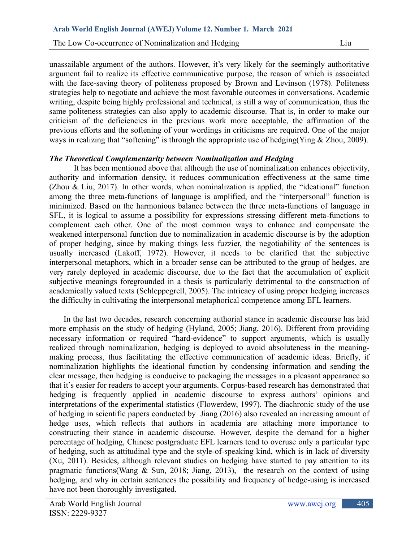unassailable argument of the authors. However, it's very likely for the seemingly authoritative argument fail to realize its effective communicative purpose, the reason of which is associated with the face-saving theory of politeness proposed by Brown and Levinson (1978). Politeness strategies help to negotiate and achieve the most favorable outcomes in conversations. Academic writing, despite being highly professional and technical, is still a way of communication, thus the same politeness strategies can also apply to academic discourse. That is, in order to make our criticism of the deficiencies in the previous work more acceptable, the affirmation of the previous efforts and the softening of your wordings in criticisms are required. One of the major ways in realizing that "softening" is through the appropriate use of hedging(Ying & Zhou, 2009).

### *The Theoretical Complementarity between Nominalization and Hedging*

It has been mentioned above that although the use of nominalization enhances objectivity, authority and information density, it reduces communication effectiveness at the same time (Zhou & Liu, 2017). In other words, when nominalization is applied, the "ideational" function among the three meta-functions of language is amplified, and the "interpersonal" function is minimized. Based on the harmonious balance between the three meta-functions of language in SFL, it is logical to assume a possibility for expressions stressing different meta-functions to complement each other. One of the most common ways to enhance and compensate the weakened interpersonal function due to nominalization in academic discourse is by the adoption of proper hedging, since by making things less fuzzier, the negotiability of the sentences is usually increased (Lakoff, 1972). However, it needs to be clarified that the subjective interpersonal metaphors, which in a broader sense can be attributed to the group of hedges, are very rarely deployed in academic discourse, due to the fact that the accumulation of explicit subjective meanings foregrounded in a thesis is particularly detrimental to the construction of academically valued texts (Schleppegrell, 2005). The intricacy of using proper hedging increases the difficulty in cultivating the interpersonal metaphorical competence among EFL learners.

In the last two decades, research concerning authorial stance in academic discourse has laid more emphasis on the study of hedging (Hyland, 2005; Jiang, 2016). Different from providing necessary information or required "hard-evidence" to support arguments, which is usually realized through nominalization, hedging is deployed to avoid absoluteness in the meaningmaking process, thus facilitating the effective communication of academic ideas. Briefly, if nominalization highlights the ideational function by condensing information and sending the clear message, then hedging is conducive to packaging the messages in a pleasant appearance so that it's easier for readers to accept your arguments. Corpus-based research has demonstrated that hedging is frequently applied in academic discourse to express authors' opinions and interpretations of the experimental statistics (Flowerdew, 1997). The diachronic study of the use of hedging in scientific papers conducted by Jiang (2016) also revealed an increasing amount of hedge uses, which reflects that authors in academia are attaching more importance to constructing their stance in academic discourse. However, despite the demand for a higher percentage of hedging, Chinese postgraduate EFL learners tend to overuse only a particular type of hedging, such as attitudinal type and the style-of-speaking kind, which is in lack of diversity (Xu, 2011). Besides, although relevant studies on hedging have started to pay attention to its pragmatic functions (Wang  $\&$  Sun, 2018; Jiang, 2013), the research on the context of using hedging, and why in certain sentences the possibility and frequency of hedge-using is increased have not been thoroughly investigated.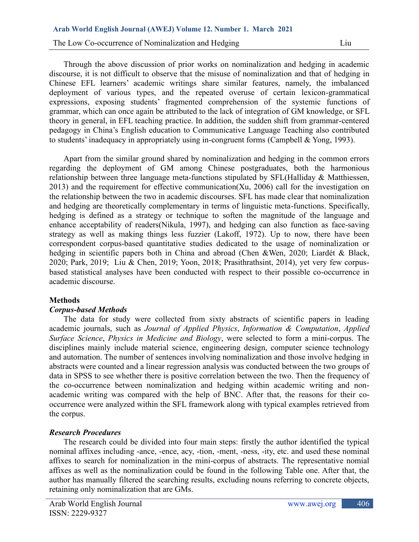Through the above discussion of prior works on nominalization and hedging in academic discourse, it is not difficult to observe that the misuse of nominalization and that of hedging in Chinese EFL learners' academic writings share similar features, namely, the imbalanced deployment of various types, and the repeated overuse of certain lexicon-grammatical expressions, exposing students' fragmented comprehension of the systemic functions of grammar, which can once again be attributed to the lack of integration of GM knowledge, or SFL theory in general, in EFL teaching practice. In addition, the sudden shift from grammar-centered pedagogy in China's English education to Communicative Language Teaching also contributed to students' inadequacy in appropriately using in-congruent forms (Campbell & Yong, 1993).

Apart from the similar ground shared by nominalization and hedging in the common errors regarding the deployment of GM among Chinese postgraduates, both the harmonious relationship between three language meta-functions stipulated by SFL(Halliday & Matthiessen, 2013) and the requirement for effective communication(Xu, 2006) call for the investigation on the relationship between the two in academic discourses. SFL has made clear that nominalization and hedging are theoretically complementary in terms of linguistic meta-functions. Specifically, hedging is defined as a strategy or technique to soften the magnitude of the language and enhance acceptability of readers(Nikula, 1997), and hedging can also function as face-saving strategy as well as making things less fuzzier (Lakoff, 1972). Up to now, there have been correspondent corpus-based quantitative studies dedicated to the usage of nominalization or hedging in scientific papers both in China and abroad (Chen &Wen, 2020; Liardét & Black, 2020; Park, 2019; Liu & Chen, 2019; Yoon, 2018; Prasithrathsint, 2014), yet very few corpusbased statistical analyses have been conducted with respect to their possible co-occurrence in academic discourse.

# **Methods**

#### *Corpus-based Methods*

The data for study were collected from sixty abstracts of scientific papers in leading academic journals, such as *Journal of Applied Physics*, *Information & Computation*, *Applied Surface Science*, *Physics in Medicine and Biology*, were selected to form a mini-corpus. The disciplines mainly include material science, engineering design, computer science technology and automation. The number of sentences involving nominalization and those involve hedging in abstracts were counted and a linear regression analysis was conducted between the two groups of data in SPSS to see whether there is positive correlation between the two. Then the frequency of the co-occurrence between nominalization and hedging within academic writing and nonacademic writing was compared with the help of BNC. After that, the reasons for their cooccurrence were analyzed within the SFL framework along with typical examples retrieved from the corpus.

# *Research Procedures*

The research could be divided into four main steps: firstly the author identified the typical nominal affixes including -ance, -ence, acy, -tion, -ment, -ness, -ity, etc. and used these nominal affixes to search for nominalization in the mini-corpus of abstracts. The representative nomial affixes as well as the nominalization could be found in the following Table one. After that, the author has manually filtered the searching results, excluding nouns referring to concrete objects, retaining only nominalization that are GMs.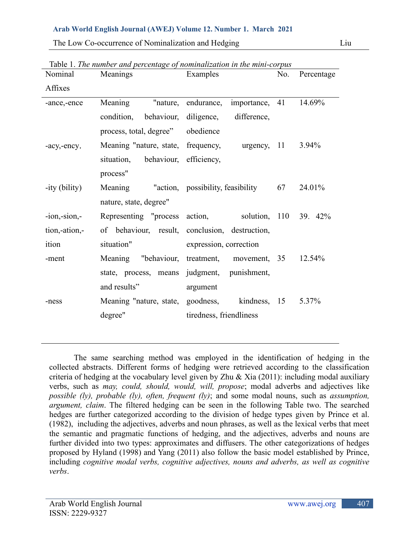| Nominal          | Meanings                          | Examples                                           | No. | Percentage |
|------------------|-----------------------------------|----------------------------------------------------|-----|------------|
| Affixes          |                                   |                                                    |     |            |
| -ance,-ence      | Meaning                           | "nature, endurance,<br>importance, 41              |     | 14.69%     |
|                  | condition, behaviour,             | diligence,<br>difference,                          |     |            |
|                  | process, total, degree" obedience |                                                    |     |            |
| -acy,-ency,      |                                   | Meaning "nature, state, frequency, urgency, 11     |     | 3.94%      |
|                  | situation, behaviour, efficiency, |                                                    |     |            |
|                  | process"                          |                                                    |     |            |
| -ity (bility)    | Meaning                           | "action, possibility, feasibility 67               |     | 24.01%     |
|                  | nature, state, degree"            |                                                    |     |            |
| $-ion, -sion, -$ |                                   | Representing "process action, solution, 110 39 42% |     |            |
| tion,-ation,-    |                                   | of behaviour, result, conclusion, destruction,     |     |            |
| ition            | situation"                        | expression, correction                             |     |            |
| -ment            |                                   | Meaning "behaviour, treatment, movement, 35        |     | 12.54%     |
|                  |                                   | state, process, means judgment, punishment,        |     |            |
|                  | and results"                      | argument                                           |     |            |
| -ness            |                                   | Meaning "nature, state, goodness, kindness, 15     |     | 5.37%      |
|                  | degree"                           | tiredness, friendliness                            |     |            |
|                  |                                   |                                                    |     |            |

Table 1. *The number and percentage of nominalization in the mini-corpus* 

The same searching method was employed in the identification of hedging in the collected abstracts. Different forms of hedging were retrieved according to the classification criteria of hedging at the vocabulary level given by Zhu  $\&$  Xia (2011): including modal auxiliary verbs, such as *may, could, should, would, will, propose*; modal adverbs and adjectives like *possible (ly), probable (ly), often, frequent (ly)*; and some modal nouns, such as *assumption, argument, claim*. The filtered hedging can be seen in the following Table two. The searched hedges are further categorized according to the division of hedge types given by Prince et al. (1982), including the adjectives, adverbs and noun phrases, as well as the lexical verbs that meet the semantic and pragmatic functions of hedging, and the adjectives, adverbs and nouns are further divided into two types: approximates and diffusers. The other categorizations of hedges proposed by Hyland (1998) and Yang (2011) also follow the basic model established by Prince, including *cognitive modal verbs, cognitive adjectives, nouns and adverbs, as well as cognitive verbs*.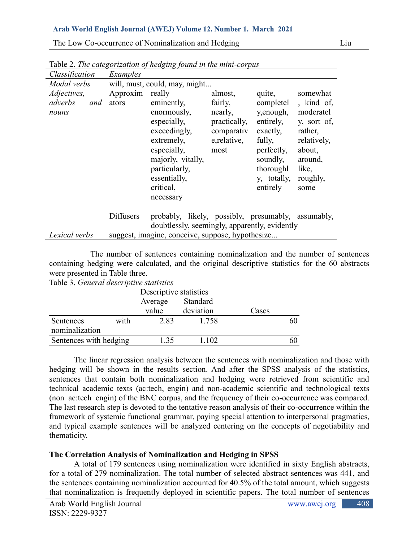The Low Co-occurrence of Nominalization and Hedging Liu

|                                        |                          | ravic 2, The calegorization of heaging found in the mini-corpus                                                                                                       |                                                                                     |                                                                                                                                        |                                                                                                                                |
|----------------------------------------|--------------------------|-----------------------------------------------------------------------------------------------------------------------------------------------------------------------|-------------------------------------------------------------------------------------|----------------------------------------------------------------------------------------------------------------------------------------|--------------------------------------------------------------------------------------------------------------------------------|
| Classification                         | Examples                 |                                                                                                                                                                       |                                                                                     |                                                                                                                                        |                                                                                                                                |
| Modal verbs                            |                          | will, must, could, may, might                                                                                                                                         |                                                                                     |                                                                                                                                        |                                                                                                                                |
| Adjectives,<br>adverbs<br>and<br>nouns | Approxim really<br>ators | eminently,<br>enormously,<br>especially,<br>exceedingly,<br>extremely,<br>especially,<br>majorly, vitally,<br>particularly,<br>essentially,<br>critical,<br>necessary | almost,<br>fairly,<br>nearly,<br>practically,<br>comparativ<br>e, relative,<br>most | quite,<br>completel<br>y, enough,<br>entirely,<br>exactly,<br>fully,<br>perfectly,<br>soundly,<br>thoroughl<br>y, totally,<br>entirely | somewhat<br>, kind of,<br>moderatel<br>y, sort of,<br>rather,<br>relatively,<br>about,<br>around,<br>like,<br>roughly,<br>some |
|                                        | Diffusers                | probably, likely, possibly, presumably, assumably,                                                                                                                    |                                                                                     |                                                                                                                                        |                                                                                                                                |
|                                        |                          | doubtlessly, seemingly, apparently, evidently                                                                                                                         |                                                                                     |                                                                                                                                        |                                                                                                                                |
| Lexical verbs                          |                          | suggest, imagine, conceive, suppose, hypothesize                                                                                                                      |                                                                                     |                                                                                                                                        |                                                                                                                                |
|                                        |                          |                                                                                                                                                                       |                                                                                     |                                                                                                                                        |                                                                                                                                |

Table 2. *The categorization of hedging found in the mini-corpus*

The number of sentences containing nominalization and the number of sentences containing hedging were calculated, and the original descriptive statistics for the 60 abstracts were presented in Table three.

|  |  | Table 3. General descriptive statistics |  |
|--|--|-----------------------------------------|--|
|--|--|-----------------------------------------|--|

|                             |      | Descriptive statistics |           |       |    |  |
|-----------------------------|------|------------------------|-----------|-------|----|--|
|                             |      | Average                | Standard  |       |    |  |
|                             |      | value                  | deviation | Cases |    |  |
| Sentences<br>nominalization | with | 2.83                   | 1.758     |       | 60 |  |
| Sentences with hedging      |      | 1 35                   | 1 102     |       |    |  |

The linear regression analysis between the sentences with nominalization and those with hedging will be shown in the results section. And after the SPSS analysis of the statistics, sentences that contain both nominalization and hedging were retrieved from scientific and technical academic texts (ac:tech, engin) and non-academic scientific and technological texts (non\_ac:tech\_engin) of the BNC corpus, and the frequency of their co-occurrence was compared. The last research step is devoted to the tentative reason analysis of their co-occurrence within the framework of systemic functional grammar, paying special attention to interpersonal pragmatics, and typical example sentences will be analyzed centering on the concepts of negotiability and thematicity.

# **The Correlation Analysis of Nominalization and Hedging in SPSS**

A total of 179 sentences using nominalization were identified in sixty English abstracts, for a total of 279 nominalization. The total number of selected abstract sentences was 441, and the sentences containing nominalization accounted for 40.5% of the total amount, which suggests that nominalization is frequently deployed in scientific papers. The total number of sentences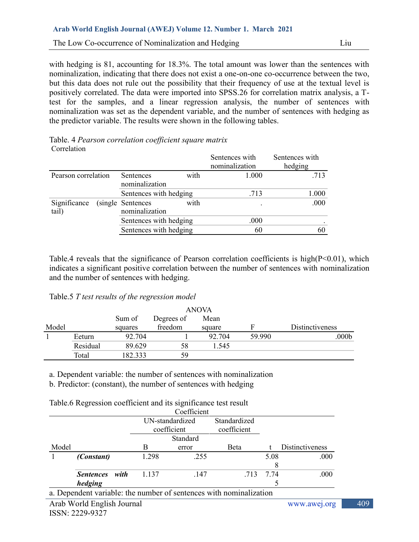with hedging is 81, accounting for 18.3%. The total amount was lower than the sentences with nominalization, indicating that there does not exist a one-on-one co-occurrence between the two, but this data does not rule out the possibility that their frequency of use at the textual level is positively correlated. The data were imported into SPSS.26 for correlation matrix analysis, a Ttest for the samples, and a linear regression analysis, the number of sentences with nominalization was set as the dependent variable, and the number of sentences with hedging as the predictor variable. The results were shown in the following tables.

| Table. 4 Pearson correlation coefficient square matrix |  |
|--------------------------------------------------------|--|
| Correlation                                            |  |

|                       |                                              | Sentences with<br>nominalization | Sentences with<br>hedging |
|-----------------------|----------------------------------------------|----------------------------------|---------------------------|
| Pearson correlation   | with<br>Sentences<br>nominalization          | 1.000                            | .713                      |
|                       | Sentences with hedging                       | .713                             | 1.000                     |
| Significance<br>tail) | (single Sentences)<br>with<br>nominalization |                                  | .000                      |
|                       | Sentences with hedging                       | .000                             |                           |
|                       | Sentences with hedging                       | 60                               | 60                        |
|                       |                                              |                                  |                           |

Table.4 reveals that the significance of Pearson correlation coefficients is high(P<0.01), which indicates a significant positive correlation between the number of sentences with nominalization and the number of sentences with hedging.

| Table.5 T test results of the regression model |  |  |  |  |  |  |  |  |
|------------------------------------------------|--|--|--|--|--|--|--|--|
|------------------------------------------------|--|--|--|--|--|--|--|--|

|       |          |         |            | <b>ANOVA</b> |        |                        |
|-------|----------|---------|------------|--------------|--------|------------------------|
|       |          | Sum of  | Degrees of | Mean         |        |                        |
| Model |          | squares | freedom    | square       | F      | <b>Distinctiveness</b> |
|       | Eeturn   | 92.704  |            | 92.704       | 59.990 | $.000\mathrm{b}$       |
|       | Residual | 89.629  | 58         | 1.545        |        |                        |
|       | Total    | 182.333 | 59         |              |        |                        |

a. Dependent variable: the number of sentences with nominalization

b. Predictor: (constant), the number of sentences with hedging

Table.6 Regression coefficient and its significance test result

|       |                                     |          | Coefficient                                                   |      |           |                        |
|-------|-------------------------------------|----------|---------------------------------------------------------------|------|-----------|------------------------|
|       |                                     |          | Standardized<br>UN-standardized<br>coefficient<br>coefficient |      |           |                        |
|       |                                     | Standard |                                                               |      |           |                        |
| Model |                                     | B        | error                                                         | Beta |           | <b>Distinctiveness</b> |
|       | (Constant)                          | 1.298    | .255                                                          |      | 5.08      | .000                   |
|       | with<br><i>Sentences</i><br>hedging | 1.137    | .147                                                          |      | .713 7.74 | .000                   |

a. Dependent variable: the number of sentences with nominalization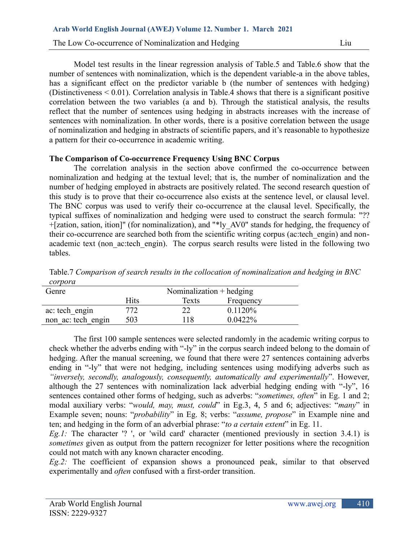Model test results in the linear regression analysis of Table.5 and Table.6 show that the number of sentences with nominalization, which is the dependent variable-a in the above tables, has a significant effect on the predictor variable b (the number of sentences with hedging) (Distinctiveness  $\leq 0.01$ ). Correlation analysis in Table. 4 shows that there is a significant positive correlation between the two variables (a and b). Through the statistical analysis, the results reflect that the number of sentences using hedging in abstracts increases with the increase of sentences with nominalization. In other words, there is a positive correlation between the usage of nominalization and hedging in abstracts of scientific papers, and it's reasonable to hypothesize a pattern for their co-occurrence in academic writing.

# **The Comparison of Co-occurrence Frequency Using BNC Corpus**

The correlation analysis in the section above confirmed the co-occurrence between nominalization and hedging at the textual level; that is, the number of nominalization and the number of hedging employed in abstracts are positively related. The second research question of this study is to prove that their co-occurrence also exists at the sentence level, or clausal level. The BNC corpus was used to verify their co-occurrence at the clausal level. Specifically, the typical suffixes of nominalization and hedging were used to construct the search formula: "?? +[zation, sation, ition]" (for nominalization), and "\*ly\_AV0" stands for hedging, the frequency of their co-occurrence are searched both from the scientific writing corpus (ac:tech\_engin) and nonacademic text (non ac:tech engin). The corpus search results were listed in the following two tables.

Table.7 *Comparison of search results in the collocation of nominalization and hedging in BNC corpora*

| Genre              | Nominalization $+$ hedging |       |            |  |  |
|--------------------|----------------------------|-------|------------|--|--|
|                    | Hits                       | Texts | Frequency  |  |  |
| ac: tech engin     | 772                        | 22    | 0.1120%    |  |  |
| non ac: tech engin | 503                        | 118   | $0.0422\%$ |  |  |

The first 100 sample sentences were selected randomly in the academic writing corpus to check whether the adverbs ending with "-ly" in the corpus search indeed belong to the domain of hedging. After the manual screening, we found that there were 27 sentences containing adverbs ending in "-ly" that were not hedging, including sentences using modifying adverbs such as *"inversely, secondly, analogously, consequently, automatically and experimentally*". However, although the 27 sentences with nominalization lack adverbial hedging ending with "-ly", 16 sentences contained other forms of hedging, such as adverbs: "*sometimes, often*" in Eg. 1 and 2; modal auxiliary verbs: "*would, may, must, could*" in Eg.3, 4, 5 and 6; adjectives: "*many*" in Example seven; nouns: "*probability*" in Eg. 8; verbs: "*assume, propose*" in Example nine and ten; and hedging in the form of an adverbial phrase: "*to a certain extent*" in Eg. 11.

*Eg.1:* The character '? ', or 'wild card' character (mentioned previously in section 3.4.1) is *sometimes* given as output from the pattern recognizer for letter positions where the recognition could not match with any known character encoding.

*Eg.2:* The coefficient of expansion shows a pronounced peak, similar to that observed experimentally and *often* confused with a first-order transition.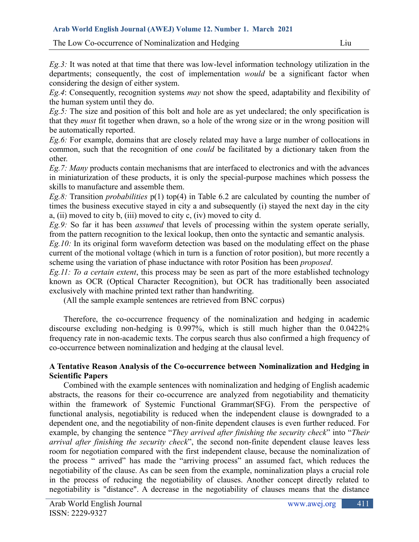The Low Co-occurrence of Nominalization and Hedging Liu

*Eg.3:* It was noted at that time that there was low-level information technology utilization in the departments; consequently, the cost of implementation *would* be a significant factor when considering the design of either system.

*Eg.4*: Consequently, recognition systems *may* not show the speed, adaptability and flexibility of the human system until they do.

*Eg.5:* The size and position of this bolt and hole are as yet undeclared; the only specification is that they *must* fit together when drawn, so a hole of the wrong size or in the wrong position will be automatically reported.

*Eg.6:* For example, domains that are closely related may have a large number of collocations in common, such that the recognition of one *could* be facilitated by a dictionary taken from the other.

*Eg.7: Many* products contain mechanisms that are interfaced to electronics and with the advances in miniaturization of these products, it is only the special-purpose machines which possess the skills to manufacture and assemble them.

*Eg.8:* Transition *probabilities* p(1) top(4) in Table 6.2 are calculated by counting the number of times the business executive stayed in city a and subsequently (i) stayed the next day in the city a, (ii) moved to city b, (iii) moved to city c, (iv) moved to city d.

*Eg.9:* So far it has been *assumed* that levels of processing within the system operate serially, from the pattern recognition to the lexical lookup, then onto the syntactic and semantic analysis.

*Eg.10:* In its original form waveform detection was based on the modulating effect on the phase current of the motional voltage (which in turn is a function of rotor position), but more recently a scheme using the variation of phase inductance with rotor Position has been *proposed*.

*Eg.11: To a certain extent*, this process may be seen as part of the more established technology known as OCR (Optical Character Recognition), but OCR has traditionally been associated exclusively with machine printed text rather than handwriting.

(All the sample example sentences are retrieved from BNC corpus)

Therefore, the co-occurrence frequency of the nominalization and hedging in academic discourse excluding non-hedging is 0.997%, which is still much higher than the 0.0422% frequency rate in non-academic texts. The corpus search thus also confirmed a high frequency of co-occurrence between nominalization and hedging at the clausal level.

# **A Tentative Reason Analysis of the Co-occurrence between Nominalization and Hedging in Scientific Papers**

Combined with the example sentences with nominalization and hedging of English academic abstracts, the reasons for their co-occurrence are analyzed from negotiability and thematicity within the framework of Systemic Functional Grammar(SFG). From the perspective of functional analysis, negotiability is reduced when the independent clause is downgraded to a dependent one, and the negotiability of non-finite dependent clauses is even further reduced. For example, by changing the sentence "*They arrived after finishing the security check*" into "*Their arrival after finishing the security check*", the second non-finite dependent clause leaves less room for negotiation compared with the first independent clause, because the nominalization of the process " arrived" has made the "arriving process" an assumed fact, which reduces the negotiability of the clause. As can be seen from the example, nominalization plays a crucial role in the process of reducing the negotiability of clauses. Another concept directly related to negotiability is "distance". A decrease in the negotiability of clauses means that the distance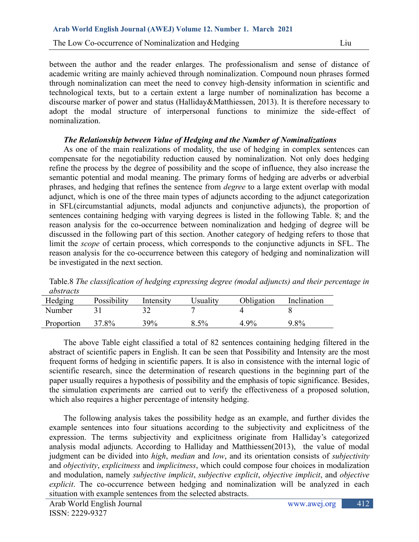between the author and the reader enlarges. The professionalism and sense of distance of academic writing are mainly achieved through nominalization. Compound noun phrases formed through nominalization can meet the need to convey high-density information in scientific and technological texts, but to a certain extent a large number of nominalization has become a discourse marker of power and status (Halliday&Matthiessen, 2013). It is therefore necessary to adopt the modal structure of interpersonal functions to minimize the side-effect of nominalization.

# *The Relationship between Value of Hedging and the Number of Nominalizations*

As one of the main realizations of modality, the use of hedging in complex sentences can compensate for the negotiability reduction caused by nominalization. Not only does hedging refine the process by the degree of possibility and the scope of influence, they also increase the semantic potential and modal meaning. The primary forms of hedging are adverbs or adverbial phrases, and hedging that refines the sentence from *degree* to a large extent overlap with modal adjunct, which is one of the three main types of adjuncts according to the adjunct categorization in SFL(circumstantial adjuncts, modal adjuncts and conjunctive adjuncts), the proportion of sentences containing hedging with varying degrees is listed in the following Table. 8; and the reason analysis for the co-occurrence between nominalization and hedging of degree will be discussed in the following part of this section. Another category of hedging refers to those that limit the *scope* of certain process, which corresponds to the conjunctive adjuncts in SFL. The reason analysis for the co-occurrence between this category of hedging and nominalization will be investigated in the next section.

| abstracts  |             |           |          |            |             |
|------------|-------------|-----------|----------|------------|-------------|
| Hedging    | Possibility | Intensity | Jsuality | Obligation | Inclination |
| Number     |             |           |          |            |             |
| Proportion | 37.8%       | 39%       | 8.5%     | $4.9\%$    | 9.8%        |

Table.8 *The classification of hedging expressing degree (modal adjuncts) and their percentage in abstracts*

The above Table eight classified a total of 82 sentences containing hedging filtered in the abstract of scientific papers in English. It can be seen that Possibility and Intensity are the most frequent forms of hedging in scientific papers. It is also in consistence with the internal logic of scientific research, since the determination of research questions in the beginning part of the paper usually requires a hypothesis of possibility and the emphasis of topic significance. Besides, the simulation experiments are carried out to verify the effectiveness of a proposed solution, which also requires a higher percentage of intensity hedging.

The following analysis takes the possibility hedge as an example, and further divides the example sentences into four situations according to the subjectivity and explicitness of the expression. The terms subjectivity and explicitness originate from Halliday's categorized analysis modal adjuncts. According to Halliday and Matthiessen(2013), the value of modal judgment can be divided into *high*, *median* and *low*, and its orientation consists of *subjectivity* and *objectivity*, *explicitness* and *implicitness*, which could compose four choices in modalization and modulation, namely *subjective implicit*, *subjective explicit*, *objective implicit*, and *objective explicit*. The co-occurrence between hedging and nominalization will be analyzed in each situation with example sentences from the selected abstracts.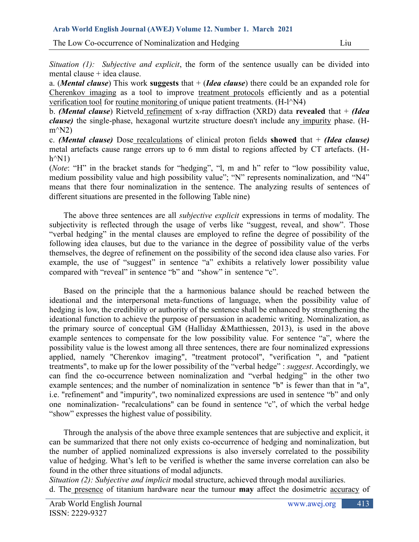The Low Co-occurrence of Nominalization and Hedging Liu

*Situation (1): Subjective and explicit*, the form of the sentence usually can be divided into mental clause + idea clause.

a. (*Mental clause*) This work **suggests** that + (*Idea clause*) there could be an expanded role for Cherenkov imaging as a tool to improve treatment protocols efficiently and as a potential verification tool for routine monitoring of unique patient treatments. (H-l^N4)

b. *(Mental clause*) Rietveld refinement of x-ray diffraction (XRD) data **revealed** that + *(Idea clause)* the single-phase, hexagonal wurtzite structure doesn't include any impurity phase. (H $m^{\wedge}N2$ 

c. *(Mental clause)* Dose recalculations of clinical proton fields **showed** that + *(Idea clause)* metal artefacts cause range errors up to 6 mm distal to regions affected by CT artefacts. (H $h^{\wedge}N1$ 

(*Note*: "H" in the bracket stands for "hedging", "l, m and h" refer to "low possibility value, medium possibility value and high possibility value"; "N" represents nominalization, and "N4" means that there four nominalization in the sentence. The analyzing results of sentences of different situations are presented in the following Table nine)

The above three sentences are all *subjective explicit* expressions in terms of modality. The subjectivity is reflected through the usage of verbs like "suggest, reveal, and show". Those "verbal hedging" in the mental clauses are employed to refine the degree of possibility of the following idea clauses, but due to the variance in the degree of possibility value of the verbs themselves, the degree of refinement on the possibility of the second idea clause also varies. For example, the use of "suggest" in sentence "a" exhibits a relatively lower possibility value compared with "reveal" in sentence "b" and "show" in sentence "c".

Based on the principle that the a harmonious balance should be reached between the ideational and the interpersonal meta-functions of language, when the possibility value of hedging is low, the credibility or authority of the sentence shall be enhanced by strengthening the ideational function to achieve the purpose of persuasion in academic writing. Nominalization, as the primary source of conceptual GM (Halliday &Matthiessen, 2013), is used in the above example sentences to compensate for the low possibility value. For sentence "a", where the possibility value is the lowest among all three sentences, there are four nominalized expressions applied, namely "Cherenkov imaging", "treatment protocol", "verification ", and "patient treatments", to make up for the lower possibility of the "verbal hedge" : *suggest*. Accordingly, we can find the co-occurrence between nominalization and "verbal hedging" in the other two example sentences; and the number of nominalization in sentence "b" is fewer than that in "a", i.e. "refinement" and "impurity", two nominalized expressions are used in sentence "b" and only one nominalization- "recalculations" can be found in sentence "c", of which the verbal hedge "show" expresses the highest value of possibility.

Through the analysis of the above three example sentences that are subjective and explicit, it can be summarized that there not only exists co-occurrence of hedging and nominalization, but the number of applied nominalized expressions is also inversely correlated to the possibility value of hedging. What's left to be verified is whether the same inverse correlation can also be found in the other three situations of modal adjuncts.

*Situation (2): Subjective and implicit* modal structure, achieved through modal auxiliaries. d. The presence of titanium hardware near the tumour **may** affect the dosimetric accuracy of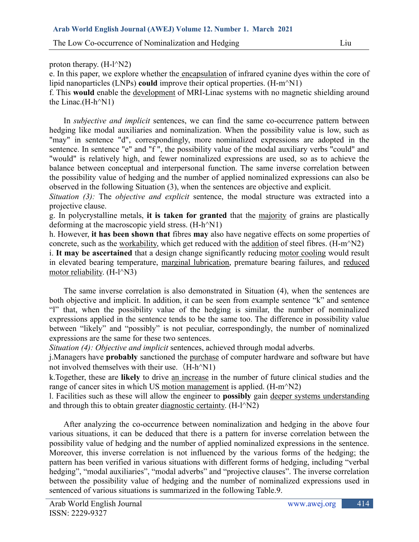# proton therapy.  $(H-I^N/2)$

e. In this paper, we explore whether the encapsulation of infrared cyanine dyes within the core of lipid nanoparticles (LNPs) **could** improve their optical properties. (H-m^N1)

f. This **would** enable the development of MRI-Linac systems with no magnetic shielding around the Linac. $(H-h^N)$ 

In *subjective and implicit* sentences, we can find the same co-occurrence pattern between hedging like modal auxiliaries and nominalization. When the possibility value is low, such as "may" in sentence "d", correspondingly, more nominalized expressions are adopted in the sentence. In sentence "e" and "f", the possibility value of the modal auxiliary verbs "could" and "would" is relatively high, and fewer nominalized expressions are used, so as to achieve the balance between conceptual and interpersonal function. The same inverse correlation between the possibility value of hedging and the number of applied nominalized expressions can also be observed in the following Situation (3), when the sentences are objective and explicit.

*Situation (3):* The *objective and explicit* sentence, the modal structure was extracted into a projective clause.

g. In polycrystalline metals, **it is taken for granted** that the majority of grains are plastically deforming at the macroscopic yield stress. (H-h^N1)

h. However, **it has been shown that** fibres **may** also have negative effects on some properties of concrete, such as the workability, which get reduced with the addition of steel fibres. (H-m^N2)

i. **It may be ascertained** that a design change significantly reducing motor cooling would result in elevated bearing temperature, marginal lubrication, premature bearing failures, and reduced motor reliability. (H-l^N3)

The same inverse correlation is also demonstrated in Situation (4), when the sentences are both objective and implicit. In addition, it can be seen from example sentence "k" and sentence "l" that, when the possibility value of the hedging is similar, the number of nominalized expressions applied in the sentence tends to be the same too. The difference in possibility value between "likely" and "possibly" is not peculiar, correspondingly, the number of nominalized expressions are the same for these two sentences.

*Situation (4): Objective and implicit* sentences, achieved through modal adverbs.

j.Managers have **probably** sanctioned the purchase of computer hardware and software but have not involved themselves with their use.  $(H-h^N)$ 

k.Together, these are **likely** to drive an increase in the number of future clinical studies and the range of cancer sites in which US motion management is applied. (H-m<sup> $\wedge$ </sup>N2)

l. Facilities such as these will allow the engineer to **possibly** gain deeper systems understanding and through this to obtain greater diagnostic certainty. (H-l^N2)

After analyzing the co-occurrence between nominalization and hedging in the above four various situations, it can be deduced that there is a pattern for inverse correlation between the possibility value of hedging and the number of applied nominalized expressions in the sentence. Moreover, this inverse correlation is not influenced by the various forms of the hedging; the pattern has been verified in various situations with different forms of hedging, including "verbal hedging", "modal auxiliaries", "modal adverbs" and "projective clauses". The inverse correlation between the possibility value of hedging and the number of nominalized expressions used in sentenced of various situations is summarized in the following Table.9.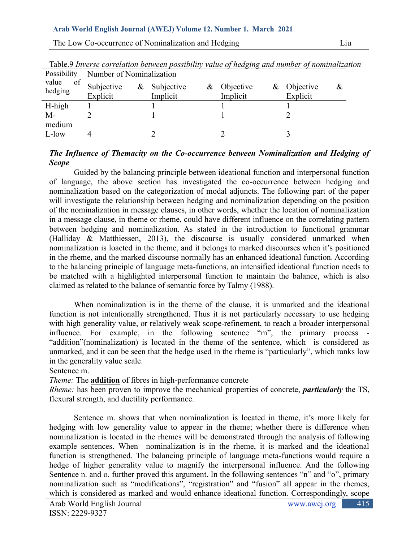|                                      | Table.9 Inverse correlation between possibility value of hedging and number of nominalized |                |             |                            |
|--------------------------------------|--------------------------------------------------------------------------------------------|----------------|-------------|----------------------------|
| Possibility Number of Nominalization |                                                                                            |                |             |                            |
|                                      | value of Subjective & Subjective                                                           | $\&$ Objective | & Objective | $\boldsymbol{\mathcal{X}}$ |

| Table.9 Inverse correlation between possibility value of hedging and number of nominalization |  |  |  |
|-----------------------------------------------------------------------------------------------|--|--|--|
| Dogolisub <sub>1</sub>                                                                        |  |  |  |

| hedging        | UUUUUVU  | $\alpha$ bubjective | $\alpha$ <i>OU</i> $\alpha$ | $\alpha$ $\sigma$<br>$\bf{u}$ |
|----------------|----------|---------------------|-----------------------------|-------------------------------|
|                | Explicit | Implicit            | Implicit                    | Explicit                      |
| H-high         |          |                     |                             |                               |
| $M-$<br>medium |          |                     |                             |                               |
| L-low          |          |                     |                             |                               |
|                |          |                     |                             |                               |

## *The Influence of Themacity on the Co-occurrence between Nominalization and Hedging of Scope*

Guided by the balancing principle between ideational function and interpersonal function of language, the above section has investigated the co-occurrence between hedging and nominalization based on the categorization of modal adjuncts. The following part of the paper will investigate the relationship between hedging and nominalization depending on the position of the nominalization in message clauses, in other words, whether the location of nominalization in a message clause, in theme or rheme, could have different influence on the correlating pattern between hedging and nominalization. As stated in the introduction to functional grammar (Halliday & Matthiessen, 2013), the discourse is usually considered unmarked when nominalization is loacted in the theme, and it belongs to marked discourses when it's positioned in the rheme, and the marked discourse normally has an enhanced ideational function. According to the balancing principle of language meta-functions, an intensified ideational function needs to be matched with a highlighted interpersonal function to maintain the balance, which is also claimed as related to the balance of semantic force by Talmy (1988).

When nominalization is in the theme of the clause, it is unmarked and the ideational function is not intentionally strengthened. Thus it is not particularly necessary to use hedging with high generality value, or relatively weak scope-refinement, to reach a broader interpersonal influence. For example, in the following sentence "m", the primary process - "addition"(nominalization) is located in the theme of the sentence, which is considered as unmarked, and it can be seen that the hedge used in the rheme is "particularly", which ranks low in the generality value scale.

Sentence m.

*Theme:* The **addition** of fibres in high-performance concrete

*Rheme:* has been proven to improve the mechanical properties of concrete, *particularly* the TS, flexural strength, and ductility performance.

Sentence m. shows that when nominalization is located in theme, it's more likely for hedging with low generality value to appear in the rheme; whether there is difference when nominalization is located in the rhemes will be demonstrated through the analysis of following example sentences. When nominalization is in the rheme, it is marked and the ideational function is strengthened. The balancing principle of language meta-functions would require a hedge of higher generality value to magnify the interpersonal influence. And the following Sentence n. and o. further proved this argument. In the following sentences "n" and "o", primary nominalization such as "modifications", "registration" and "fusion" all appear in the rhemes, which is considered as marked and would enhance ideational function. Correspondingly, scope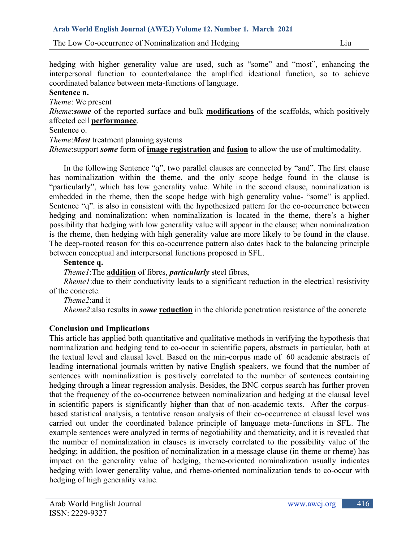The Low Co-occurrence of Nominalization and Hedging Liu

hedging with higher generality value are used, such as "some" and "most", enhancing the interpersonal function to counterbalance the amplified ideational function, so to achieve coordinated balance between meta-functions of language.

# **Sentence n.**

*Theme*: We present

*Rheme*:*some* of the reported surface and bulk **modifications** of the scaffolds, which positively affected cell **performance**.

### Sentence o.

*Theme*:*Most* treatment planning systems

*Rheme*:support *some* form of **image registration** and **fusion** to allow the use of multimodality.

In the following Sentence "q", two parallel clauses are connected by "and". The first clause has nominalization within the theme, and the only scope hedge found in the clause is "particularly", which has low generality value. While in the second clause, nominalization is embedded in the rheme, then the scope hedge with high generality value- "some" is applied. Sentence "q". is also in consistent with the hypothesized pattern for the co-occurrence between hedging and nominalization: when nominalization is located in the theme, there's a higher possibility that hedging with low generality value will appear in the clause; when nominalization is the rheme, then hedging with high generality value are more likely to be found in the clause. The deep-rooted reason for this co-occurrence pattern also dates back to the balancing principle between conceptual and interpersonal functions proposed in SFL.

### **Sentence q.**

*Theme1*:The **addition** of fibres, *particularly* steel fibres,

*Rheme1*: due to their conductivity leads to a significant reduction in the electrical resistivity of the concrete.

*Theme2*:and it

*Rheme2*:also results in *some* **reduction** in the chloride penetration resistance of the concrete

# **Conclusion and Implications**

This article has applied both quantitative and qualitative methods in verifying the hypothesis that nominalization and hedging tend to co-occur in scientific papers, abstracts in particular, both at the textual level and clausal level. Based on the min-corpus made of 60 academic abstracts of leading international journals written by native English speakers, we found that the number of sentences with nominalization is positively correlated to the number of sentences containing hedging through a linear regression analysis. Besides, the BNC corpus search has further proven that the frequency of the co-occurrence between nominalization and hedging at the clausal level in scientific papers is significantly higher than that of non-academic texts. After the corpusbased statistical analysis, a tentative reason analysis of their co-occurrence at clausal level was carried out under the coordinated balance principle of language meta-functions in SFL. The example sentences were analyzed in terms of negotiability and thematicity, and it is revealed that the number of nominalization in clauses is inversely correlated to the possibility value of the hedging; in addition, the position of nominalization in a message clause (in theme or rheme) has impact on the generality value of hedging, theme-oriented nominalization usually indicates hedging with lower generality value, and rheme-oriented nominalization tends to co-occur with hedging of high generality value.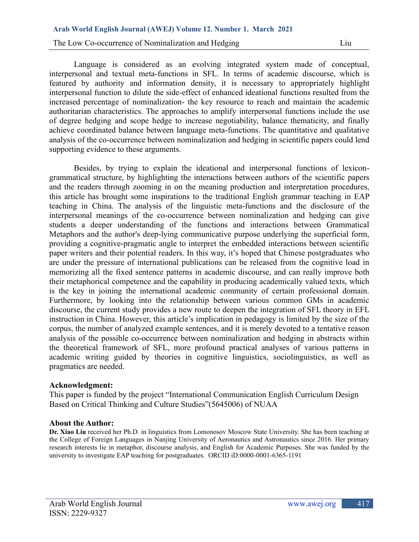The Low Co-occurrence of Nominalization and Hedging Liu

Language is considered as an evolving integrated system made of conceptual, interpersonal and textual meta-functions in SFL. In terms of academic discourse, which is featured by authority and information density, it is necessary to appropriately highlight interpersonal function to dilute the side-effect of enhanced ideational functions resulted from the increased percentage of nominalization- the key resource to reach and maintain the academic authoritarian characteristics. The approaches to amplify interpersonal functions include the use of degree hedging and scope hedge to increase negotiability, balance thematicity, and finally achieve coordinated balance between language meta-functions. The quantitative and qualitative analysis of the co-occurrence between nominalization and hedging in scientific papers could lend supporting evidence to these arguments.

Besides, by trying to explain the ideational and interpersonal functions of lexicongrammatical structure, by highlighting the interactions between authors of the scientific papers and the readers through zooming in on the meaning production and interpretation procedures, this article has brought some inspirations to the traditional English grammar teaching in EAP teaching in China. The analysis of the linguistic meta-functions and the disclosure of the interpersonal meanings of the co-occurrence between nominalization and hedging can give students a deeper understanding of the functions and interactions between Grammatical Metaphors and the author's deep-lying communicative purpose underlying the superficial form, providing a cognitive-pragmatic angle to interpret the embedded interactions between scientific paper writers and their potential readers. In this way, it's hoped that Chinese postgraduates who are under the pressure of international publications can be released from the cognitive load in memorizing all the fixed sentence patterns in academic discourse, and can really improve both their metaphorical competence and the capability in producing academically valued texts, which is the key in joining the international academic community of certain professional domain. Furthermore, by looking into the relationship between various common GMs in academic discourse, the current study provides a new route to deepen the integration of SFL theory in EFL instruction in China. However, this article's implication in pedagogy is limited by the size of the corpus, the number of analyzed example sentences, and it is merely devoted to a tentative reason analysis of the possible co-occurrence between nominalization and hedging in abstracts within the theoretical framework of SFL, more profound practical analyses of various patterns in academic writing guided by theories in cognitive linguistics, sociolinguistics, as well as pragmatics are needed.

#### **Acknowledgment:**

This paper is funded by the project "International Communication English Curriculum Design Based on Critical Thinking and Culture Studies"(5645006) of NUAA

#### **About the Author:**

**Dr. Xiao Liu** received her Ph.D. in linguistics from Lomonosov Moscow State University. She has been teaching at the College of Foreign Languages in Nanjing University of Aeronautics and Astronautics since 2016. Her primary research interests lie in metaphor, discourse analysis, and English for Academic Purposes. She was funded by the university to investigate EAP teaching for postgraduates. ORCID iD:0000-0001-6365-1191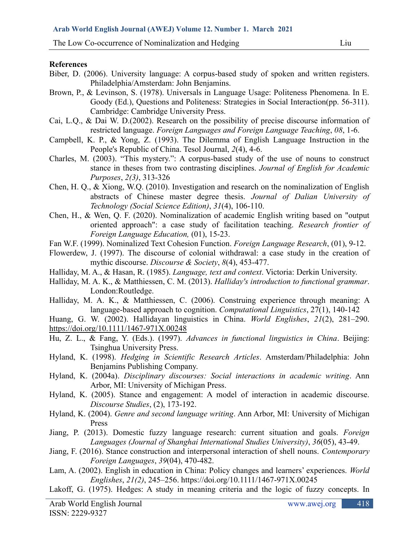#### **References**

- Biber, D. (2006). University language: A corpus-based study of spoken and written registers. Philadelphia/Amsterdam: John Benjamins.
- Brown, P., & Levinson, S. (1978). Universals in Language Usage: Politeness Phenomena. In E. Goody (Ed.), Questions and Politeness: Strategies in Social Interaction(pp. 56-311). Cambridge: Cambridge University Press.
- Cai, L.Q., & Dai W. D.(2002). Research on the possibility of precise discourse information of restricted language. *Foreign Languages and Foreign Language Teaching*, *08*, 1-6.
- Campbell, K. P., & Yong, Z. (1993). The Dilemma of English Language Instruction in the People's Republic of China. Tesol Journal, *2*(4), 4-6.
- Charles, M. (2003). "This mystery.": A corpus-based study of the use of nouns to construct stance in theses from two contrasting disciplines. *Journal of English for Academic Purposes*, *2(3)*, 313-326
- Chen, H. Q., & Xiong, W.Q. (2010). Investigation and research on the nominalization of English abstracts of Chinese master degree thesis. *Journal of Dalian University of Technology (Social Science Edition)*, *31*(4), 106-110.
- Chen, H., & Wen, Q. F. (2020). Nominalization of academic English writing based on "output oriented approach": a case study of facilitation teaching. *Research frontier of Foreign Language Education,* (01), 15-23.
- Fan W.F. (1999). Nominalized Text Cohesion Function. *Foreign Language Research*, (01), 9-12.
- Flowerdew, J. (1997). The discourse of colonial withdrawal: a case study in the creation of mythic discourse. *Discourse & Society*, *8*(4), 453-477.
- Halliday, M. A., & Hasan, R. (1985). *Language, text and context*. Victoria: Derkin University.
- Halliday, M. A. K., & Matthiessen, C. M. (2013). *Halliday's introduction to functional grammar*. London:Routledge.
- Halliday, M. A. K., & Matthiessen, C. (2006). Construing experience through meaning: A language-based approach to cognition. *Computational Linguistics*, 27(1), 140-142
- Huang, G. W. (2002). Hallidayan linguistics in China. *World Englishes*, *21*(2), 281–290. <https://doi.org/10.1111/1467-971X.00248>
- Hu, Z. L., & Fang, Y. (Eds.). (1997). *Advances in functional linguistics in China*. Beijing: Tsinghua University Press.
- Hyland, K. (1998). *Hedging in Scientific Research Articles*. Amsterdam/Philadelphia: John Benjamins Publishing Company.
- Hyland, K. (2004a). *Disciplinary discourses: Social interactions in academic writing*. Ann Arbor, MI: University of Michigan Press.
- Hyland, K. (2005). Stance and engagement: A model of interaction in academic discourse. *Discourse Studies*, (2), 173-192.
- Hyland, K. (2004). *Genre and second language writing*. Ann Arbor, MI: University of Michigan Press
- Jiang, P. (2013). Domestic fuzzy language research: current situation and goals. *Foreign Languages (Journal of Shanghai International Studies University)*, *36*(05), 43-49.
- Jiang, F. (2016). Stance construction and interpersonal interaction of shell nouns. *Contemporary Foreign Languages*, *39*(04), 470-482.
- Lam, A. (2002). English in education in China: Policy changes and learners' experiences. *World Englishes*, *21(2)*, 245–256. https://doi.org/10.1111/1467-971X.00245
- Lakoff, G. (1975). Hedges: A study in meaning criteria and the logic of fuzzy concepts. In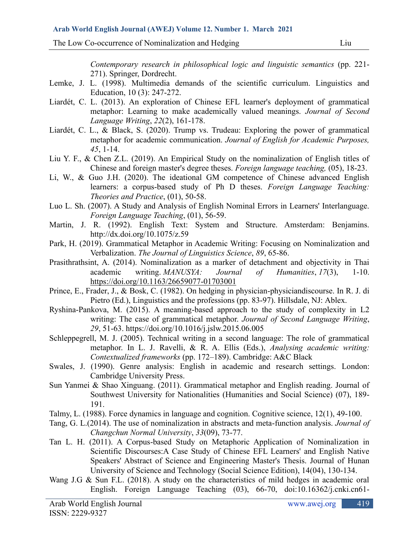*Contemporary research in philosophical logic and linguistic semantics* (pp. 221- 271). Springer, Dordrecht.

- Lemke, J. L. (1998). Multimedia demands of the scientific curriculum. Linguistics and Education, 10 (3): 247-272.
- Liardét, C. L. (2013). An exploration of Chinese EFL learner's deployment of grammatical metaphor: Learning to make academically valued meanings. *Journal of Second Language Writing*, *22*(2), 161-178.
- Liardét, C. L., & Black, S. (2020). Trump vs. Trudeau: Exploring the power of grammatical metaphor for academic communication. *Journal of English for Academic Purposes, 45*, 1-14.
- Liu Y. F., & Chen Z.L. (2019). An Empirical Study on the nominalization of English titles of Chinese and foreign master's degree theses. *Foreign language teaching,* (05), 18-23.
- Li, W., & Guo J.H. (2020). The ideational GM competence of Chinese advanced English learners: a corpus-based study of Ph D theses. *Foreign Language Teaching: Theories and Practice*, (01), 50-58.
- Luo L. Sh. (2007). A Study and Analysis of English Nominal Errors in Learners' Interlanguage. *Foreign Language Teaching*, (01), 56-59.
- Martin, J. R. (1992). English Text: System and Structure. Amsterdam: Benjamins. http://dx.doi.org/10.1075/z.59
- Park, H. (2019). Grammatical Metaphor in Academic Writing: Focusing on Nominalization and Verbalization. *The Journal of Linguistics Science*, *89*, 65-86.
- Prasithrathsint, A. (2014). Nominalization as a marker of detachment and objectivity in Thai academic writing. *MANUSYA: Journal of Humanities*, *17*(3), 1-10. <https://doi.org/10.1163/26659077-01703001>
- Prince, E., Frader, J., & Bosk, C. (1982). On hedging in physician-physiciandiscourse. In R. J. di Pietro (Ed.), Linguistics and the professions (pp. 83-97). Hillsdale, NJ: Ablex.
- Ryshina-Pankova, M. (2015). A meaning-based approach to the study of complexity in L2 writing: The case of grammatical metaphor. *Journal of Second Language Writing*, *29*, 51-63. https://doi.org/10.1016/j.jslw.2015.06.005
- Schleppegrell, M. J. (2005). Technical writing in a second language: The role of grammatical metaphor. In L. J. Ravelli, & R. A. Ellis (Eds.), *Analysing academic writing: Contextualized frameworks* (pp. 172–189). Cambridge: A&C Black
- Swales, J. (1990). Genre analysis: English in academic and research settings. London: Cambridge University Press.
- Sun Yanmei & Shao Xinguang. (2011). Grammatical metaphor and English reading. Journal of Southwest University for Nationalities (Humanities and Social Science) (07), 189- 191.
- Talmy, L. (1988). Force dynamics in language and cognition. Cognitive science, 12(1), 49-100.
- Tang, G. L.(2014). The use of nominalization in abstracts and meta-function analysis. *Journal of Changchun Normal University*, *33*(09), 73-77.
- Tan L. H. (2011). A Corpus-based Study on Metaphoric Application of Nominalization in Scientific Discourses:A Case Study of Chinese EFL Learners' and English Native Speakers' Abstract of Science and Engineering Master's Thesis. Journal of Hunan University of Science and Technology (Social Science Edition), 14(04), 130-134.
- Wang J.G & Sun F.L. (2018). A study on the characteristics of mild hedges in academic oral English. Foreign Language Teaching (03), 66-70, doi:10.16362/j.cnki.cn61-